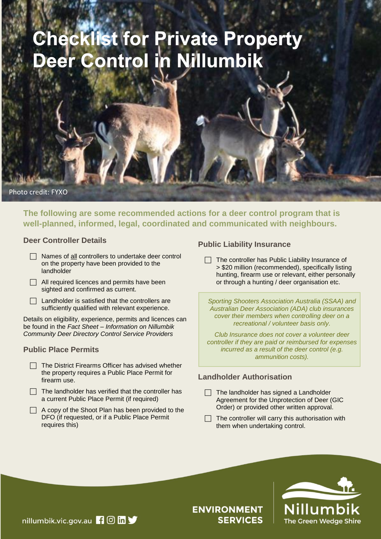# **Checklist for Private Property<br>Deer Control in Nillumbik**

Photo credit: FYXO

**The following are some recommended actions for a deer control program that is well-planned, informed, legal, coordinated and communicated with neighbours.**

#### **Deer Controller Details**

- $\Box$  Names of all controllers to undertake deer control on the property have been provided to the landholder
- $\Box$  All required licences and permits have been sighted and confirmed as current.
- $\Box$  Landholder is satisfied that the controllers are sufficiently qualified with relevant experience.

Details on eligibility, experience, permits and licences can be found in the *Fact Sheet – Information on Nillumbik Community Deer Directory Control Service Providers*

# **Public Place Permits**

- $\Box$  The District Firearms Officer has advised whether the property requires a Public Place Permit for firearm use.
- $\Box$  The landholder has verified that the controller has a current Public Place Permit (if required)
- $\Box$  A copy of the Shoot Plan has been provided to the DFO (if requested, or if a Public Place Permit requires this)

# **Public Liability Insurance**

 $\Box$  The controller has Public Liability Insurance of > \$20 million (recommended), specifically listing hunting, firearm use or relevant, either personally or through a hunting / deer organisation etc.

*Sporting Shooters Association Australia (SSAA) and Australian Deer Association (ADA) club insurances cover their members when controlling deer on a recreational / volunteer basis only.*

*Club Insurance does not cover a volunteer deer controller if they are paid or reimbursed for expenses incurred as a result of the deer control (e.g. ammunition costs).*

# **Landholder Authorisation**

- $\Box$  The landholder has signed a Landholder Agreement for the Unprotection of Deer (GIC Order) or provided other written approval.
- The controller will carry this authorisation with them when undertaking control.



# **ENVIRONMENT SERVICES**